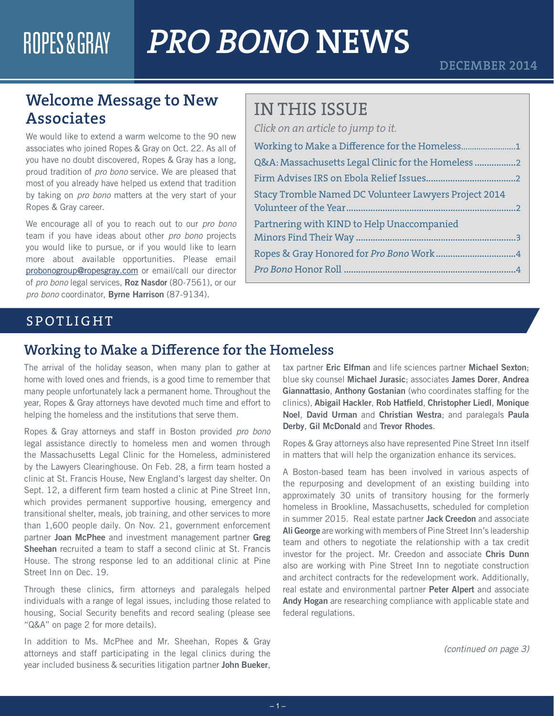# *PRO BONO* **NEWS** ROPES & GRAY

#### **DECEMBER 2014**

# **Welcome Message to New Associates**

We would like to extend a warm welcome to the 90 new associates who joined Ropes & Gray on Oct. 22. As all of you have no doubt discovered, Ropes & Gray has a long, proud tradition of pro bono service. We are pleased that most of you already have helped us extend that tradition by taking on *pro bono* matters at the very start of your Ropes & Gray career.

We encourage all of you to reach out to our pro bono team if you have ideas about other pro bono projects you would like to pursue, or if you would like to learn more about available opportunities. Please email [probonogroup@ropesgray.com](mailto:probonogroup%40ropesgray.com?subject=) or email/call our director of pro bono legal services, Roz Nasdor (80-7561), or our pro bono coordinator, Byrne Harrison (87-9134).

# In This Issue

| Click on an article to jump to it.                    |               |
|-------------------------------------------------------|---------------|
|                                                       |               |
| Q&A: Massachusetts Legal Clinic for the Homeless      |               |
|                                                       | $\mathcal{L}$ |
| Stacy Tromble Named DC Volunteer Lawyers Project 2014 |               |
|                                                       | $\mathcal{D}$ |
| Partnering with KIND to Help Unaccompanied            |               |
|                                                       | ₹             |
|                                                       | $\mathbf{-4}$ |
|                                                       |               |

## SPOTLIGHT

## **Working to Make a Difference for the Homeless**

The arrival of the holiday season, when many plan to gather at home with loved ones and friends, is a good time to remember that many people unfortunately lack a permanent home. Throughout the year, Ropes & Gray attorneys have devoted much time and effort to helping the homeless and the institutions that serve them.

Ropes & Gray attorneys and staff in Boston provided pro bono legal assistance directly to homeless men and women through the Massachusetts Legal Clinic for the Homeless, administered by the Lawyers Clearinghouse. On Feb. 28, a firm team hosted a clinic at St. Francis House, New England's largest day shelter. On Sept. 12, a different firm team hosted a clinic at Pine Street Inn, which provides permanent supportive housing, emergency and transitional shelter, meals, job training, and other services to more than 1,600 people daily. On Nov. 21, government enforcement partner Joan McPhee and investment management partner Greg Sheehan recruited a team to staff a second clinic at St. Francis House. The strong response led to an additional clinic at Pine Street Inn on Dec. 19.

Through these clinics, firm attorneys and paralegals helped individuals with a range of legal issues, including those related to housing, Social Security benefits and record sealing (please see "Q&A" on page 2 for more details).

In addition to Ms. McPhee and Mr. Sheehan, Ropes & Gray attorneys and staff participating in the legal clinics during the year included business & securities litigation partner John Bueker, tax partner Eric Elfman and life sciences partner Michael Sexton; blue sky counsel Michael Jurasic; associates James Dorer, Andrea Giannattasio, Anthony Gostanian (who coordinates staffing for the clinics), Abigail Hackler, Rob Hatfield, Christopher Liedl, Monique Noel, David Urman and Christian Westra; and paralegals Paula Derby, Gil McDonald and Trevor Rhodes.

Ropes & Gray attorneys also have represented Pine Street Inn itself in matters that will help the organization enhance its services.

A Boston-based team has been involved in various aspects of the repurposing and development of an existing building into approximately 30 units of transitory housing for the formerly homeless in Brookline, Massachusetts, scheduled for completion in summer 2015. Real estate partner Jack Creedon and associate Ali George are working with members of Pine Street Inn's leadership team and others to negotiate the relationship with a tax credit investor for the project. Mr. Creedon and associate Chris Dunn also are working with Pine Street Inn to negotiate construction and architect contracts for the redevelopment work. Additionally, real estate and environmental partner Peter Alpert and associate Andy Hogan are researching compliance with applicable state and federal regulations.

(continued on page 3)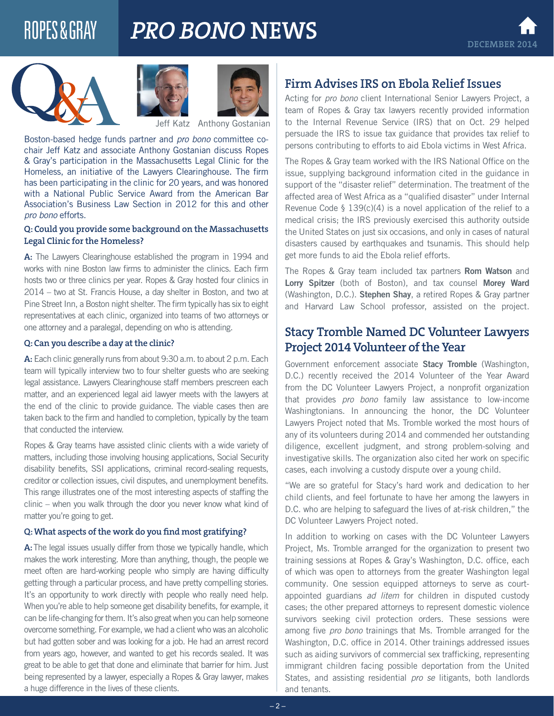# <span id="page-1-0"></span>ROPES&GRAY

# *PRO BONO* **NEWS**







Anthony Gostanian Jeff Katz

Boston-based hedge funds partner and pro bono committee cochair Jeff Katz and associate Anthony Gostanian discuss Ropes & Gray's participation in the Massachusetts Legal Clinic for the Homeless, an initiative of the Lawyers Clearinghouse. The firm has been participating in the clinic for 20 years, and was honored with a National Public Service Award from the American Bar Association's Business Law Section in 2012 for this and other pro bono efforts.

#### **Q: Could you provide some background on the Massachusetts Legal Clinic for the Homeless?**

**A:** The Lawyers Clearinghouse established the program in 1994 and works with nine Boston law firms to administer the clinics. Each firm hosts two or three clinics per year. Ropes & Gray hosted four clinics in 2014 – two at St. Francis House, a day shelter in Boston, and two at Pine Street Inn, a Boston night shelter. The firm typically has six to eight representatives at each clinic, organized into teams of two attorneys or one attorney and a paralegal, depending on who is attending.

#### **Q: Can you describe a day at the clinic?**

**A:** Each clinic generally runs from about 9:30 a.m. to about 2 p.m. Each team will typically interview two to four shelter guests who are seeking legal assistance. Lawyers Clearinghouse staff members prescreen each matter, and an experienced legal aid lawyer meets with the lawyers at the end of the clinic to provide guidance. The viable cases then are taken back to the firm and handled to completion, typically by the team that conducted the interview.

Ropes & Gray teams have assisted clinic clients with a wide variety of matters, including those involving housing applications, Social Security disability benefits, SSI applications, criminal record-sealing requests, creditor or collection issues, civil disputes, and unemployment benefits. This range illustrates one of the most interesting aspects of staffing the clinic – when you walk through the door you never know what kind of matter you're going to get.

#### **Q: What aspects of the work do you find most gratifying?**

**A:** The legal issues usually differ from those we typically handle, which makes the work interesting. More than anything, though, the people we meet often are hard-working people who simply are having difficulty getting through a particular process, and have pretty compelling stories. It's an opportunity to work directly with people who really need help. When you're able to help someone get disability benefits, for example, it can be life-changing for them. It's also great when you can help someone overcome something. For example, we had a client who was an alcoholic but had gotten sober and was looking for a job. He had an arrest record from years ago, however, and wanted to get his records sealed. It was great to be able to get that done and eliminate that barrier for him. Just being represented by a lawyer, especially a Ropes & Gray lawyer, makes a huge difference in the lives of these clients.

## **Firm Advises IRS on Ebola Relief Issues**

Acting for pro bono client International Senior Lawyers Project, a team of Ropes & Gray tax lawyers recently provided information to the Internal Revenue Service (IRS) that on Oct. 29 helped persuade the IRS to issue tax guidance that provides tax relief to persons contributing to efforts to aid Ebola victims in West Africa.

The Ropes & Gray team worked with the IRS National Office on the issue, supplying background information cited in the guidance in support of the "disaster relief" determination. The treatment of the affected area of West Africa as a "qualified disaster" under Internal Revenue Code § 139(c)(4) is a novel application of the relief to a medical crisis; the IRS previously exercised this authority outside the United States on just six occasions, and only in cases of natural disasters caused by earthquakes and tsunamis. This should help get more funds to aid the Ebola relief efforts.

The Ropes & Gray team included tax partners Rom Watson and Lorry Spitzer (both of Boston), and tax counsel Morey Ward (Washington, D.C.). Stephen Shay, a retired Ropes & Gray partner and Harvard Law School professor, assisted on the project.

#### **Stacy Tromble Named DC Volunteer Lawyers Project 2014 Volunteer of the Year**

Government enforcement associate Stacy Tromble (Washington, D.C.) recently received the 2014 Volunteer of the Year Award from the DC Volunteer Lawyers Project, a nonprofit organization that provides pro bono family law assistance to low-income Washingtonians. In announcing the honor, the DC Volunteer Lawyers Project noted that Ms. Tromble worked the most hours of any of its volunteers during 2014 and commended her outstanding diligence, excellent judgment, and strong problem-solving and investigative skills. The organization also cited her work on specific cases, each involving a custody dispute over a young child.

"We are so grateful for Stacy's hard work and dedication to her child clients, and feel fortunate to have her among the lawyers in D.C. who are helping to safeguard the lives of at-risk children," the DC Volunteer Lawyers Project noted.

In addition to working on cases with the DC Volunteer Lawyers Project, Ms. Tromble arranged for the organization to present two training sessions at Ropes & Gray's Washington, D.C. office, each of which was open to attorneys from the greater Washington legal community. One session equipped attorneys to serve as courtappointed guardians ad litem for children in disputed custody cases; the other prepared attorneys to represent domestic violence survivors seeking civil protection orders. These sessions were among five *pro bono* trainings that Ms. Tromble arranged for the Washington, D.C. office in 2014. Other trainings addressed issues such as aiding survivors of commercial sex trafficking, representing immigrant children facing possible deportation from the United States, and assisting residential *pro se* litigants, both landlords and tenants.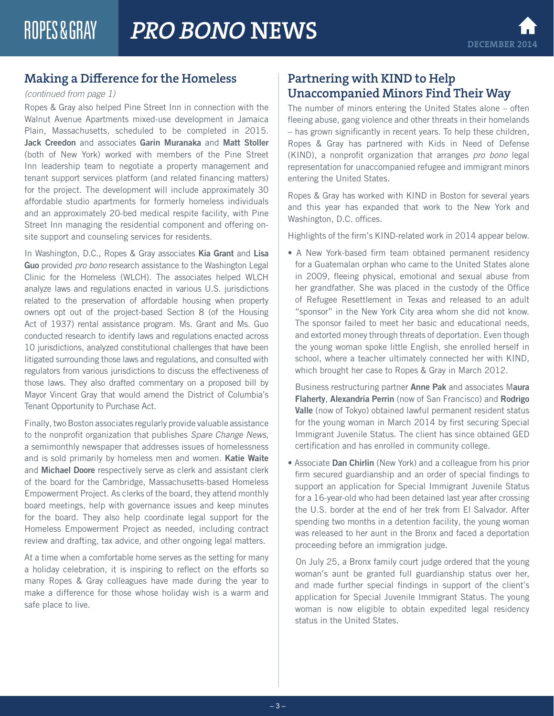## <span id="page-2-0"></span>**Making a Difference for the Homeless**

#### (continued from page 1)

Ropes & Gray also helped Pine Street Inn in connection with the Walnut Avenue Apartments mixed-use development in Jamaica Plain, Massachusetts, scheduled to be completed in 2015. Jack Creedon and associates Garin Muranaka and Matt Stoller (both of New York) worked with members of the Pine Street Inn leadership team to negotiate a property management and tenant support services platform (and related financing matters) for the project. The development will include approximately 30 affordable studio apartments for formerly homeless individuals and an approximately 20-bed medical respite facility, with Pine Street Inn managing the residential component and offering onsite support and counseling services for residents.

In Washington, D.C., Ropes & Gray associates Kia Grant and Lisa Guo provided *pro bono* research assistance to the Washington Legal Clinic for the Homeless (WLCH). The associates helped WLCH analyze laws and regulations enacted in various U.S. jurisdictions related to the preservation of affordable housing when property owners opt out of the project-based Section 8 (of the Housing Act of 1937) rental assistance program. Ms. Grant and Ms. Guo conducted research to identify laws and regulations enacted across 10 jurisdictions, analyzed constitutional challenges that have been litigated surrounding those laws and regulations, and consulted with regulators from various jurisdictions to discuss the effectiveness of those laws. They also drafted commentary on a proposed bill by Mayor Vincent Gray that would amend the District of Columbia's Tenant Opportunity to Purchase Act.

Finally, two Boston associates regularly provide valuable assistance to the nonprofit organization that publishes Spare Change News, a semimonthly newspaper that addresses issues of homelessness and is sold primarily by homeless men and women. Katie Waite and Michael Doore respectively serve as clerk and assistant clerk of the board for the Cambridge, Massachusetts-based Homeless Empowerment Project. As clerks of the board, they attend monthly board meetings, help with governance issues and keep minutes for the board. They also help coordinate legal support for the Homeless Empowerment Project as needed, including contract review and drafting, tax advice, and other ongoing legal matters.

At a time when a comfortable home serves as the setting for many a holiday celebration, it is inspiring to reflect on the efforts so many Ropes & Gray colleagues have made during the year to make a difference for those whose holiday wish is a warm and safe place to live.

## **Partnering with KIND to Help Unaccompanied Minors Find Their Way**

The number of minors entering the United States alone – often fleeing abuse, gang violence and other threats in their homelands – has grown significantly in recent years. To help these children, Ropes & Gray has partnered with Kids in Need of Defense (KIND), a nonprofit organization that arranges pro bono legal representation for unaccompanied refugee and immigrant minors entering the United States.

Ropes & Gray has worked with KIND in Boston for several years and this year has expanded that work to the New York and Washington, D.C. offices.

Highlights of the firm's KIND-related work in 2014 appear below.

• A New York-based firm team obtained permanent residency for a Guatemalan orphan who came to the United States alone in 2009, fleeing physical, emotional and sexual abuse from her grandfather. She was placed in the custody of the Office of Refugee Resettlement in Texas and released to an adult "sponsor" in the New York City area whom she did not know. The sponsor failed to meet her basic and educational needs, and extorted money through threats of deportation. Even though the young woman spoke little English, she enrolled herself in school, where a teacher ultimately connected her with KIND, which brought her case to Ropes & Gray in March 2012.

Business restructuring partner Anne Pak and associates Maura Flaherty, Alexandria Perrin (now of San Francisco) and Rodrigo Valle (now of Tokyo) obtained lawful permanent resident status for the young woman in March 2014 by first securing Special Immigrant Juvenile Status. The client has since obtained GED certification and has enrolled in community college.

• Associate Dan Chirlin (New York) and a colleague from his prior firm secured guardianship and an order of special findings to support an application for Special Immigrant Juvenile Status for a 16-year-old who had been detained last year after crossing the U.S. border at the end of her trek from El Salvador. After spending two months in a detention facility, the young woman was released to her aunt in the Bronx and faced a deportation proceeding before an immigration judge.

 On July 25, a Bronx family court judge ordered that the young woman's aunt be granted full guardianship status over her, and made further special findings in support of the client's application for Special Juvenile Immigrant Status. The young woman is now eligible to obtain expedited legal residency status in the United States.